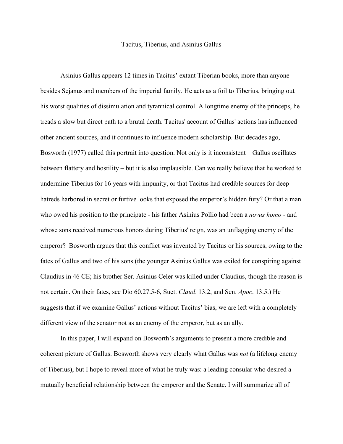## Tacitus, Tiberius, and Asinius Gallus

Asinius Gallus appears 12 times in Tacitus' extant Tiberian books, more than anyone besides Sejanus and members of the imperial family. He acts as a foil to Tiberius, bringing out his worst qualities of dissimulation and tyrannical control. A longtime enemy of the princeps, he treads a slow but direct path to a brutal death. Tacitus' account of Gallus' actions has influenced other ancient sources, and it continues to influence modern scholarship. But decades ago, Bosworth (1977) called this portrait into question. Not only is it inconsistent – Gallus oscillates between flattery and hostility – but it is also implausible. Can we really believe that he worked to undermine Tiberius for 16 years with impunity, or that Tacitus had credible sources for deep hatreds harbored in secret or furtive looks that exposed the emperor's hidden fury? Or that a man who owed his position to the principate - his father Asinius Pollio had been a *novus homo* - and whose sons received numerous honors during Tiberius' reign, was an unflagging enemy of the emperor? Bosworth argues that this conflict was invented by Tacitus or his sources, owing to the fates of Gallus and two of his sons (the younger Asinius Gallus was exiled for conspiring against Claudius in 46 CE; his brother Ser. Asinius Celer was killed under Claudius, though the reason is not certain. On their fates, see Dio 60.27.5-6, Suet. *Claud*. 13.2, and Sen. *Apoc*. 13.5.) He suggests that if we examine Gallus' actions without Tacitus' bias, we are left with a completely different view of the senator not as an enemy of the emperor, but as an ally.

In this paper, I will expand on Bosworth's arguments to present a more credible and coherent picture of Gallus. Bosworth shows very clearly what Gallus was *not* (a lifelong enemy of Tiberius), but I hope to reveal more of what he truly was: a leading consular who desired a mutually beneficial relationship between the emperor and the Senate. I will summarize all of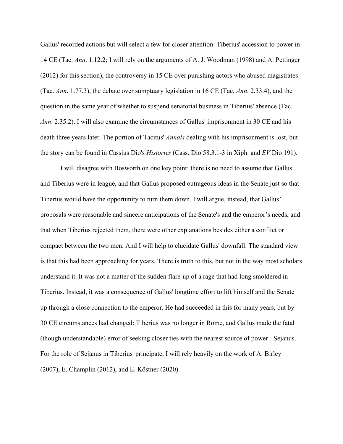Gallus' recorded actions but will select a few for closer attention: Tiberius' accession to power in 14 CE (Tac. *Ann*. 1.12.2; I will rely on the arguments of A. J. Woodman (1998) and A. Pettinger (2012) for this section), the controversy in 15 CE over punishing actors who abused magistrates (Tac. *Ann*. 1.77.3), the debate over sumptuary legislation in 16 CE (Tac. *Ann*. 2.33.4), and the question in the same year of whether to suspend senatorial business in Tiberius' absence (Tac. *Ann*. 2.35.2). I will also examine the circumstances of Gallus' imprisonment in 30 CE and his death three years later. The portion of Tacitus' *Annals* dealing with his imprisonment is lost, but the story can be found in Cassius Dio's *Histories* (Cass. Dio 58.3.1-3 in Xiph. and *EV* Dio 191).

I will disagree with Bosworth on one key point: there is no need to assume that Gallus and Tiberius were in league, and that Gallus proposed outrageous ideas in the Senate just so that Tiberius would have the opportunity to turn them down. I will argue, instead, that Gallus' proposals were reasonable and sincere anticipations of the Senate's and the emperor's needs, and that when Tiberius rejected them, there were other explanations besides either a conflict or compact between the two men. And I will help to elucidate Gallus' downfall. The standard view is that this had been approaching for years. There is truth to this, but not in the way most scholars understand it. It was not a matter of the sudden flare-up of a rage that had long smoldered in Tiberius. Instead, it was a consequence of Gallus' longtime effort to lift himself and the Senate up through a close connection to the emperor. He had succeeded in this for many years, but by 30 CE circumstances had changed: Tiberius was no longer in Rome, and Gallus made the fatal (though understandable) error of seeking closer ties with the nearest source of power - Sejanus. For the role of Sejanus in Tiberius' principate, I will rely heavily on the work of A. Birley (2007), E. Champlin (2012), and E. Köstner (2020).